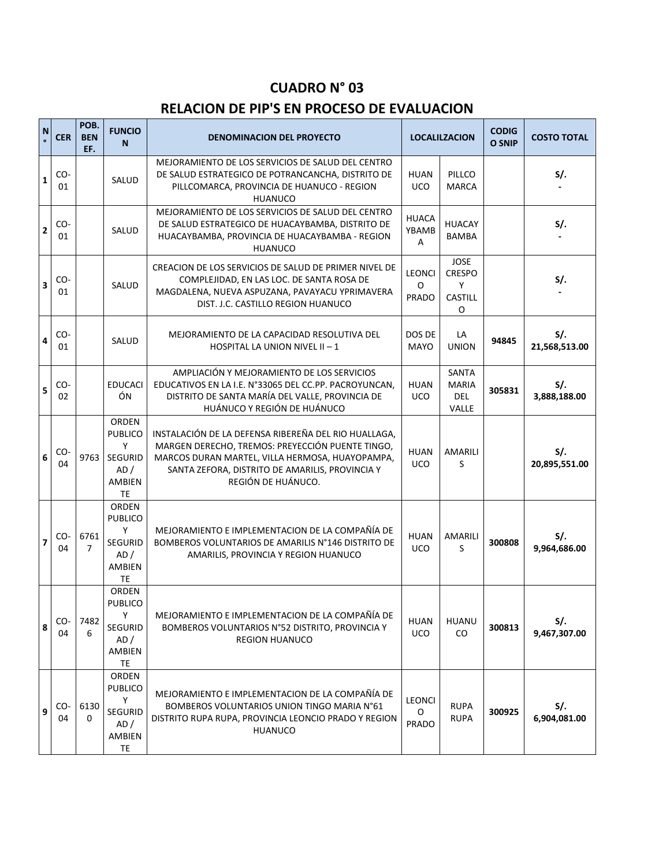## **CUADRO N° 03**

## **RELACION DE PIP'S EN PROCESO DE EVALUACION**

| N | <b>CER</b> | POB.<br><b>BEN</b><br>EF. | <b>FUNCIO</b><br>N                                                     | <b>DENOMINACION DEL PROYECTO</b>                                                                                                                                                                                                     | <b>LOCALILZACION</b>               |                                                          | <b>CODIG</b><br><b>O SNIP</b> | <b>COSTO TOTAL</b>       |
|---|------------|---------------------------|------------------------------------------------------------------------|--------------------------------------------------------------------------------------------------------------------------------------------------------------------------------------------------------------------------------------|------------------------------------|----------------------------------------------------------|-------------------------------|--------------------------|
| 1 | CO-<br>01  |                           | SALUD                                                                  | MEJORAMIENTO DE LOS SERVICIOS DE SALUD DEL CENTRO<br>DE SALUD ESTRATEGICO DE POTRANCANCHA, DISTRITO DE<br>PILLCOMARCA, PROVINCIA DE HUANUCO - REGION<br><b>HUANUCO</b>                                                               | <b>HUAN</b><br><b>UCO</b>          | PILLCO<br><b>MARCA</b>                                   |                               | $S$ .                    |
| 2 | CO-<br>01  |                           | SALUD                                                                  | MEJORAMIENTO DE LOS SERVICIOS DE SALUD DEL CENTRO<br>DE SALUD ESTRATEGICO DE HUACAYBAMBA, DISTRITO DE<br>HUACAYBAMBA, PROVINCIA DE HUACAYBAMBA - REGION<br><b>HUANUCO</b>                                                            | <b>HUACA</b><br>YBAMB<br>A         | <b>HUACAY</b><br><b>BAMBA</b>                            |                               | $S$ .                    |
| 3 | CO-<br>01  |                           | SALUD                                                                  | CREACION DE LOS SERVICIOS DE SALUD DE PRIMER NIVEL DE<br>COMPLEJIDAD, EN LAS LOC. DE SANTA ROSA DE<br>MAGDALENA, NUEVA ASPUZANA, PAVAYACU YPRIMAVERA<br>DIST. J.C. CASTILLO REGION HUANUCO                                           | <b>LEONCI</b><br>O<br><b>PRADO</b> | <b>JOSE</b><br><b>CRESPO</b><br>Y<br>CASTILL<br>$\Omega$ |                               | $S$ .                    |
| 4 | CO-<br>01  |                           | SALUD                                                                  | MEJORAMIENTO DE LA CAPACIDAD RESOLUTIVA DEL<br>HOSPITAL LA UNION NIVEL II - 1                                                                                                                                                        | DOS DE<br><b>MAYO</b>              | LA<br><b>UNION</b>                                       | 94845                         | $S/I$ .<br>21,568,513.00 |
| 5 | CO-<br>02  |                           | <b>EDUCACI</b><br>ÓN                                                   | AMPLIACIÓN Y MEJORAMIENTO DE LOS SERVICIOS<br>EDUCATIVOS EN LA I.E. N°33065 DEL CC.PP. PACROYUNCAN,<br>DISTRITO DE SANTA MARÍA DEL VALLE, PROVINCIA DE<br>HUÁNUCO Y REGIÓN DE HUÁNUCO                                                | <b>HUAN</b><br><b>UCO</b>          | SANTA<br><b>MARIA</b><br><b>DEL</b><br>VALLE             | 305831                        | $S$ .<br>3,888,188.00    |
| 6 | CO-<br>04  | 9763                      | ORDEN<br><b>PUBLICO</b><br>Y<br><b>SEGURID</b><br>AD/<br>AMBIEN<br>TE  | INSTALACIÓN DE LA DEFENSA RIBEREÑA DEL RIO HUALLAGA,<br>MARGEN DERECHO, TREMOS: PREYECCIÓN PUENTE TINGO,<br>MARCOS DURAN MARTEL, VILLA HERMOSA, HUAYOPAMPA,<br>SANTA ZEFORA, DISTRITO DE AMARILIS, PROVINCIA Y<br>REGIÓN DE HUÁNUCO. | <b>HUAN</b><br><b>UCO</b>          | AMARILI<br>S                                             |                               | $S/I$ .<br>20,895,551.00 |
| 7 | CO-<br>04  | 6761<br>7                 | ORDEN<br><b>PUBLICO</b><br>Y<br><b>SEGURID</b><br>AD /<br>AMBIEN<br>TE | MEJORAMIENTO E IMPLEMENTACION DE LA COMPAÑÍA DE<br>BOMBEROS VOLUNTARIOS DE AMARILIS N°146 DISTRITO DE<br>AMARILIS, PROVINCIA Y REGION HUANUCO                                                                                        | <b>HUAN</b><br>UCO                 | AMARILI<br>S                                             | 300808                        | $S$ .<br>9,964,686.00    |
| 8 | CO-<br>04  | 7482<br>6                 | ORDEN<br><b>PUBLICO</b><br>Y<br><b>SEGURID</b><br>AD/<br>AMBIEN<br>TE  | MEJORAMIENTO E IMPLEMENTACION DE LA COMPAÑÍA DE<br>BOMBEROS VOLUNTARIOS N°52 DISTRITO, PROVINCIA Y<br><b>REGION HUANUCO</b>                                                                                                          | <b>HUAN</b><br><b>UCO</b>          | <b>HUANU</b><br>CO.                                      | 300813                        | S/.<br>9,467,307.00      |
| 9 | CO-<br>04  | 6130<br>0                 | ORDEN<br><b>PUBLICO</b><br>Y<br>SEGURID<br>AD /<br>AMBIEN<br><b>TE</b> | MEJORAMIENTO E IMPLEMENTACION DE LA COMPAÑÍA DE<br>BOMBEROS VOLUNTARIOS UNION TINGO MARIA N°61<br>DISTRITO RUPA RUPA, PROVINCIA LEONCIO PRADO Y REGION<br><b>HUANUCO</b>                                                             | LEONCI<br>0<br>PRADO               | <b>RUPA</b><br><b>RUPA</b>                               | 300925                        | S/.<br>6,904,081.00      |